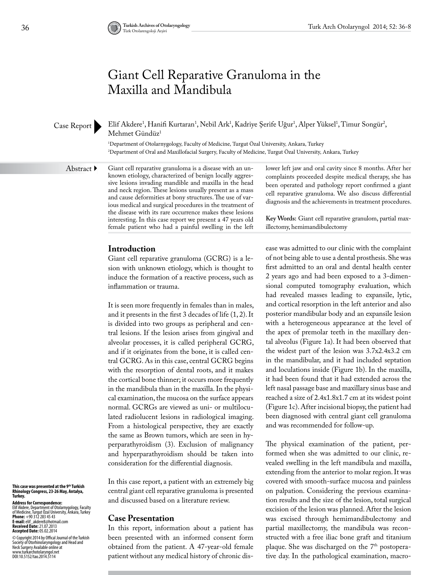# Giant Cell Reparative Granuloma in the Maxilla and Mandibula

Case Report

Elif Akdere<sup>1</sup>, Hanifi Kurtaran<sup>1</sup>, Nebil Ark<sup>1</sup>, Kadriye Şerife Uğur<sup>1</sup>, Alper Yüksel<sup>1</sup>, Timur Songür<sup>2</sup>, Mehmet Gündüz<sup>1</sup>

1 Department of Otolarnygology, Faculty of Medicine, Turgut Özal University, Ankara, Turkey 2 Department of Oral and Maxillofacial Surgery, Faculty of Medicine, Turgut Özal University, Ankara, Turkey

Abstract  $\blacktriangleright$ 

Giant cell reparative granuloma is a disease with an unknown etiology, characterized of benign locally aggressive lesions invading mandible and maxilla in the head and neck region. These lesions usually present as a mass and cause deformities at bony structures. The use of various medical and surgical procedures in the treatment of the disease with its rare occurrence makes these lesions interesting. In this case report we present a 47 years old female patient who had a painful swelling in the left

**Introduction**

Giant cell reparative granuloma (GCRG) is a lesion with unknown etiology, which is thought to induce the formation of a reactive process, such as inflammation or trauma.

It is seen more frequently in females than in males, and it presents in the first 3 decades of life (1, 2). It is divided into two groups as peripheral and central lesions. If the lesion arises from gingival and alveolar processes, it is called peripheral GCRG, and if it originates from the bone, it is called central GCRG. As in this case, central GCRG begins with the resorption of dental roots, and it makes the cortical bone thinner; it occurs more frequently in the mandibula than in the maxilla. In the physical examination, the mucosa on the surface appears normal. GCRGs are viewed as uni- or multiloculated radiolucent lesions in radiological imaging. From a histological perspective, they are exactly the same as Brown tumors, which are seen in hyperparathyroidism (3). Exclusion of malignancy and hyperparathyroidism should be taken into consideration for the differential diagnosis.

In this case report, a patient with an extremely big central giant cell reparative granuloma is presented and discussed based on a literature review.

#### **Case Presentation**

In this report, information about a patient has been presented with an informed consent form obtained from the patient. A 47-year-old female patient without any medical history of chronic dislower left jaw and oral cavity since 8 months. After her complaints proceeded despite medical therapy, she has been operated and pathology report confirmed a giant cell reparative granuloma. We also discuss differential diagnosis and the achievements in treatment procedures.

**Key Words:** Giant cell reparative granulom, partial maxillectomy, hemimandibulectomy

ease was admitted to our clinic with the complaint of not being able to use a dental prosthesis. She was first admitted to an oral and dental health center 2 years ago and had been exposed to a 3-dimensional computed tomography evaluation, which had revealed masses leading to expansile, lytic, and cortical resorption in the left anterior and also posterior mandibular body and an expansile lesion with a heterogeneous appearance at the level of the apex of premolar teeth in the maxillary dental alveolus (Figure 1a). It had been observed that the widest part of the lesion was 3.7x2.4x3.2 cm in the mandibular, and it had included septation and loculations inside (Figure 1b). In the maxilla, it had been found that it had extended across the left nasal passage base and maxillary sinus base and reached a size of 2.4x1.8x1.7 cm at its widest point (Figure 1c). After incisional biopsy, the patient had been diagnosed with central giant cell granuloma and was recommended for follow-up.

The physical examination of the patient, performed when she was admitted to our clinic, revealed swelling in the left mandibula and maxilla, extending from the anterior to molar region. It was covered with smooth-surface mucosa and painless on palpation. Considering the previous examination results and the size of the lesion, total surgical excision of the lesion was planned. After the lesion was excised through hemimandibulectomy and partial maxillectomy, the mandibula was reconstructed with a free iliac bone graft and titanium plaque. She was discharged on the 7<sup>th</sup> postoperative day. In the pathological examination, macro-

**This case was presented at the 9th Turkish Rhinology Congress, 23-26 May, Antalya, Turkey.**

**Address for Correspondence:**  Elif Akdere, Department of Otolarnygology, Faculty of Medicine, Turgut Özal University, Ånkara, Turkeý<br>**Phone:** +90 312 283 45 43<br>**E-mail:** elif\_akdere8@hotmail.com **Received Date:** 21.07.2013 **Accepted Date:** 05.02.2014

© Copyright 2014 by Offical Journal of the Turkish<br>Neckety of Otorhinolaryngology and Head and<br>Neck Surgery Available online at<br>www.turkarchotolaryngol.net<br>DOI:10.5152/tao.2014.5114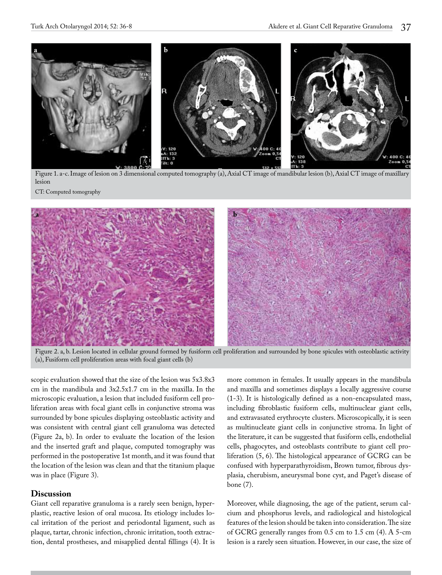

Figure 1. a-c. Image of lesion on 3 dimensional computed tomography (a), Axial CT image of mandibular lesion (b), Axial CT image of maxillary lesion

CT: Computed tomography



Figure 2. a, b. Lesion located in cellular ground formed by fusiform cell proliferation and surrounded by bone spicules with osteoblastic activity (a), Fusiform cell proliferation areas with focal giant cells (b)

scopic evaluation showed that the size of the lesion was 5x3.8x3 cm in the mandibula and 3x2.5x1.7 cm in the maxilla. In the microscopic evaluation, a lesion that included fusiform cell proliferation areas with focal giant cells in conjunctive stroma was surrounded by bone spicules displaying osteoblastic activity and was consistent with central giant cell granuloma was detected (Figure 2a, b). In order to evaluate the location of the lesion and the inserted graft and plaque, computed tomography was performed in the postoperative 1st month, and it was found that the location of the lesion was clean and that the titanium plaque was in place (Figure 3).

# **Discussion**

Giant cell reparative granuloma is a rarely seen benign, hyperplastic, reactive lesion of oral mucosa. Its etiology includes local irritation of the periost and periodontal ligament, such as plaque, tartar, chronic infection, chronic irritation, tooth extraction, dental prostheses, and misapplied dental fillings (4). It is more common in females. It usually appears in the mandibula and maxilla and sometimes displays a locally aggressive course (1-3). It is histologically defined as a non-encapsulated mass, including fibroblastic fusiform cells, multinuclear giant cells, and extravasated erythrocyte clusters. Microscopically, it is seen as multinucleate giant cells in conjunctive stroma. In light of the literature, it can be suggested that fusiform cells, endothelial cells, phagocytes, and osteoblasts contribute to giant cell proliferation (5, 6). The histological appearance of GCRG can be confused with hyperparathyroidism, Brown tumor, fibrous dysplasia, cherubism, aneurysmal bone cyst, and Paget's disease of bone (7).

Moreover, while diagnosing, the age of the patient, serum calcium and phosphorus levels, and radiological and histological features of the lesion should be taken into consideration. The size of GCRG generally ranges from 0.5 cm to 1.5 cm (4). A 5-cm lesion is a rarely seen situation. However, in our case, the size of